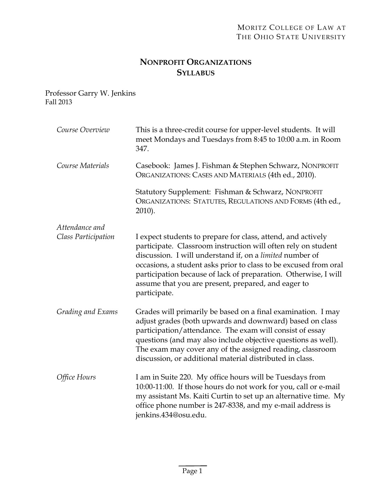# **NONPROFIT ORGANIZATIONS SYLLABUS**

Professor Garry W. Jenkins Fall 2013

| Course Overview                       | This is a three-credit course for upper-level students. It will<br>meet Mondays and Tuesdays from 8:45 to 10:00 a.m. in Room<br>347.                                                                                                                                                                                                                                                                    |
|---------------------------------------|---------------------------------------------------------------------------------------------------------------------------------------------------------------------------------------------------------------------------------------------------------------------------------------------------------------------------------------------------------------------------------------------------------|
| Course Materials                      | Casebook: James J. Fishman & Stephen Schwarz, NONPROFIT<br>ORGANIZATIONS: CASES AND MATERIALS (4th ed., 2010).                                                                                                                                                                                                                                                                                          |
|                                       | Statutory Supplement: Fishman & Schwarz, NONPROFIT<br>ORGANIZATIONS: STATUTES, REGULATIONS AND FORMS (4th ed.,<br>2010).                                                                                                                                                                                                                                                                                |
| Attendance and<br>Class Participation | I expect students to prepare for class, attend, and actively<br>participate. Classroom instruction will often rely on student<br>discussion. I will understand if, on a limited number of<br>occasions, a student asks prior to class to be excused from oral<br>participation because of lack of preparation. Otherwise, I will<br>assume that you are present, prepared, and eager to<br>participate. |
| Grading and Exams                     | Grades will primarily be based on a final examination. I may<br>adjust grades (both upwards and downward) based on class<br>participation/attendance. The exam will consist of essay<br>questions (and may also include objective questions as well).<br>The exam may cover any of the assigned reading, classroom<br>discussion, or additional material distributed in class.                          |
| Office Hours                          | I am in Suite 220. My office hours will be Tuesdays from<br>10:00-11:00. If those hours do not work for you, call or e-mail<br>my assistant Ms. Kaiti Curtin to set up an alternative time. My<br>office phone number is 247-8338, and my e-mail address is<br>jenkins.434@osu.edu.                                                                                                                     |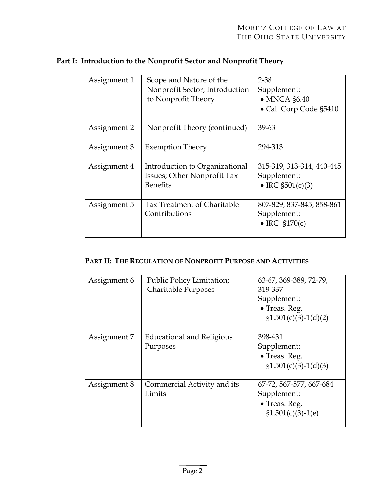| Assignment 1 | Scope and Nature of the<br>Nonprofit Sector; Introduction<br>to Nonprofit Theory | $2 - 38$<br>Supplement:<br>$\bullet$ MNCA $$6.40$<br>• Cal. Corp Code §5410 |
|--------------|----------------------------------------------------------------------------------|-----------------------------------------------------------------------------|
|              |                                                                                  | 39-63                                                                       |
| Assignment 2 | Nonprofit Theory (continued)                                                     |                                                                             |
| Assignment 3 | <b>Exemption Theory</b>                                                          | 294-313                                                                     |
| Assignment 4 | Introduction to Organizational<br>Issues; Other Nonprofit Tax<br><b>Benefits</b> | 315-319, 313-314, 440-445<br>Supplement:<br>• IRC $$501(c)(3)$              |
| Assignment 5 | Tax Treatment of Charitable<br>Contributions                                     | 807-829, 837-845, 858-861<br>Supplement:<br>$\bullet$ IRC §170(c)           |

# **Part I: Introduction to the Nonprofit Sector and Nonprofit Theory**

# **PART II: THE REGULATION OF NONPROFIT PURPOSE AND ACTIVITIES**

| Assignment 6 | Public Policy Limitation;<br><b>Charitable Purposes</b> | 63-67, 369-389, 72-79,<br>319-337<br>Supplement:<br>• Treas. Reg.<br>$\S1.501(c)(3)-1(d)(2)$ |
|--------------|---------------------------------------------------------|----------------------------------------------------------------------------------------------|
| Assignment 7 | Educational and Religious<br>Purposes                   | 398-431<br>Supplement:<br>• Treas. Reg.<br>$$1.501(c)(3)-1(d)(3)$                            |
| Assignment 8 | Commercial Activity and its<br>Limits                   | 67-72, 567-577, 667-684<br>Supplement:<br>$\bullet$ Treas. Reg.<br>$$1.501(c)(3)-1(e)$       |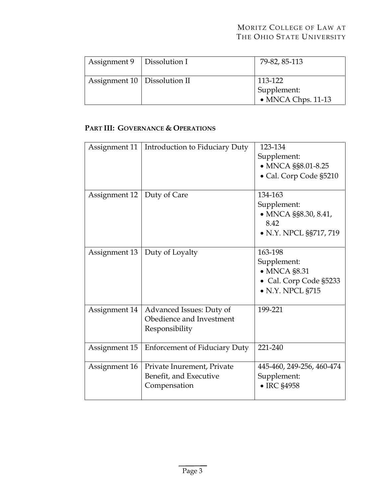### MORITZ COLLEGE OF LAW AT THE OHIO STATE UNIVERSITY

| Assignment $9$   Dissolution I | 79-82, 85-113                                        |
|--------------------------------|------------------------------------------------------|
| Assignment 10   Dissolution II | 113-122<br>Supplement:<br>$\bullet$ MNCA Chps. 11-13 |

### **PART III: GOVERNANCE & OPERATIONS**

|               |                                      | 123-134                   |
|---------------|--------------------------------------|---------------------------|
| Assignment 11 | Introduction to Fiduciary Duty       |                           |
|               |                                      | Supplement:               |
|               |                                      | • MNCA §§8.01-8.25        |
|               |                                      | · Cal. Corp Code §5210    |
|               |                                      |                           |
| Assignment 12 | Duty of Care                         | 134-163                   |
|               |                                      | Supplement:               |
|               |                                      | • MNCA §§8.30, 8.41,      |
|               |                                      | 8.42                      |
|               |                                      | • N.Y. NPCL §§717, 719    |
|               |                                      |                           |
| Assignment 13 | Duty of Loyalty                      | 163-198                   |
|               |                                      | Supplement:               |
|               |                                      | $\bullet$ MNCA $\S 8.31$  |
|               |                                      | • Cal. Corp Code §5233    |
|               |                                      |                           |
|               |                                      | $\bullet$ N.Y. NPCL §715  |
|               |                                      | 199-221                   |
| Assignment 14 | Advanced Issues: Duty of             |                           |
|               | Obedience and Investment             |                           |
|               | Responsibility                       |                           |
|               |                                      |                           |
| Assignment 15 | <b>Enforcement of Fiduciary Duty</b> | 221-240                   |
|               |                                      |                           |
| Assignment 16 | Private Inurement, Private           | 445-460, 249-256, 460-474 |
|               | Benefit, and Executive               | Supplement:               |
|               | Compensation                         | • IRC §4958               |
|               |                                      |                           |